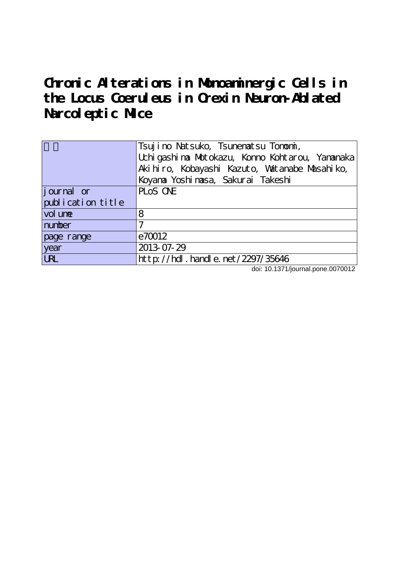**Chronic Alterations in Monoaminergic Cells in the Locus Coeruleus in Orexin Neuron-Ablated Narcoleptic Mice**

|                    | Tsujino Natsuko, Tsunenatsu Tonomi,<br>Uchi gashi na Motokazu, Konno Kohtarou, Yananaka |
|--------------------|-----------------------------------------------------------------------------------------|
|                    | Aki hi ro, Kobayashi Kazuto, Watanabe Masahi ko,                                        |
|                    | Koyana Yoshi nasa, Sakurai Takeshi                                                      |
| <i>j</i> ournal or | PLOS ONE                                                                                |
| publication title  |                                                                                         |
| vol une            | 8                                                                                       |
| number             | ℸ                                                                                       |
| page range         | e70012                                                                                  |
| year               | 2013-07-29                                                                              |
| <b>LRL</b>         | http://hdl.handle.net/2297/35646                                                        |

doi: 10.1371/journal.pone.0070012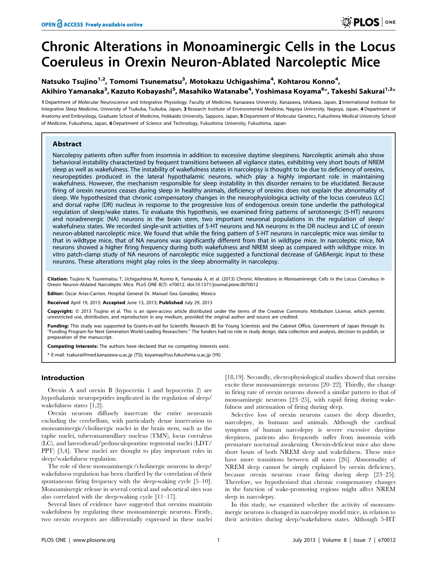# Chronic Alterations in Monoaminergic Cells in the Locus Coeruleus in Orexin Neuron-Ablated Narcoleptic Mice

# Natsuko Tsujino<sup>1,2</sup>, Tomomi Tsunematsu<sup>3</sup>, Motokazu Uchigashima<sup>4</sup>, Kohtarou Konno<sup>4</sup>, Akihiro Yamanaka<sup>3</sup>, Kazuto Kobayashi<sup>5</sup>, Masahiko Watanabe<sup>4</sup>, Yoshimasa Koyama<sup>6</sup>\*, Takeshi Sakurai<sup>1,2</sup>\*

1 Department of Molecular Neuroscience and Integrative Physiology, Faculty of Medicine, Kanazawa University, Kanazawa, Ishikawa, Japan, 2 International Institute for Integrative Sleep Medicine, University of Tsukuba, Tsukuba, Japan, 3 Research Institute of Environmental Medicine, Nagoya University, Nagoya, Japan, 4 Department of Anatomy and Embryology, Graduate School of Medicine, Hokkaido University, Sapporo, Japan, 5Department of Molecular Genetics, Fukushima Medical University School of Medicine, Fukushima, Japan, 6 Department of Science and Technology, Fukushima University, Fukushima, Japan

# Abstract

Narcolepsy patients often suffer from insomnia in addition to excessive daytime sleepiness. Narcoleptic animals also show behavioral instability characterized by frequent transitions between all vigilance states, exhibiting very short bouts of NREM sleep as well as wakefulness. The instability of wakefulness states in narcolepsy is thought to be due to deficiency of orexins, neuropeptides produced in the lateral hypothalamic neurons, which play a highly important role in maintaining wakefulness. However, the mechanism responsible for sleep instability in this disorder remains to be elucidated. Because firing of orexin neurons ceases during sleep in healthy animals, deficiency of orexins does not explain the abnormality of sleep. We hypothesized that chronic compensatory changes in the neurophysiologica activity of the locus coeruleus (LC) and dorsal raphe (DR) nucleus in response to the progressive loss of endogenous orexin tone underlie the pathological regulation of sleep/wake states. To evaluate this hypothesis, we examined firing patterns of serotonergic (5-HT) neurons and noradrenergic (NA) neurons in the brain stem, two important neuronal populations in the regulation of sleep/ wakefulness states. We recorded single-unit activities of 5-HT neurons and NA neurons in the DR nucleus and LC of orexin neuron-ablated narcoleptic mice. We found that while the firing pattern of 5-HT neurons in narcoleptic mice was similar to that in wildtype mice, that of NA neurons was significantly different from that in wildtype mice. In narcoleptic mice, NA neurons showed a higher firing frequency during both wakefulness and NREM sleep as compared with wildtype mice. In vitro patch-clamp study of NA neurons of narcoleptic mice suggested a functional decrease of GABAergic input to these neurons. These alterations might play roles in the sleep abnormality in narcolepsy.

Citation: Tsujino N, Tsunematsu T, Uchigashima M, Konno K, Yamanaka A, et al. (2013) Chronic Alterations in Monoaminergic Cells in the Locus Coeruleus in Orexin Neuron-Ablated Narcoleptic Mice. PLoS ONE 8(7): e70012. doi:10.1371/journal.pone.0070012

**Editor:** Oscar Arias-Carrion, Hospital General Dr. Manuel Gea González, Mexico

Received April 19, 2013; Accepted June 13, 2013; Published July 29, 2013

Copyright: @ 2013 Tsujino et al. This is an open-access article distributed under the terms of the Creative Commons Attribution License, which permits unrestricted use, distribution, and reproduction in any medium, provided the original author and source are credited.

Funding: This study was supported by Grants-in-aid for Scientific Research (B) for Young Scientists and the Cabinet Office, Government of Japan through its ''Funding Program for Next Generation World-Leading Researchers.'' The funders had no role in study design, data collection and analysis, decision to publish, or preparation of the manuscript.

Competing Interests: The authors have declared that no competing interests exist.

\* E-mail: tsakurai@med.kanazawa-u.ac.jp (TS); koyamay@sss.fukushima-u.ac.jp (YK)

# Introduction

Orexin A and orexin B (hypocretin 1 and hypocretin 2) are hypothalamic neuropeptides implicated in the regulation of sleep/ wakefulness states [1,2].

Orexin neurons diffusely innervate the entire neuroaxis excluding the cerebellum, with particularly dense innervation to monoaminergic/cholinergic nuclei in the brain stem, such as the raphe nuclei, tuberomammillary nucleus (TMN), locus coeruleus (LC), and laterodorsal/pedunculopontine tegmental nuclei (LDT/ PPT) [3,4]. These nuclei are thought to play important roles in sleep/wakefulness regulation.

The role of these monoaminergic/cholinergic neurons in sleep/ wakefulness regulation has been clarified by the correlation of their spontaneous firing frequency with the sleep-waking cycle [5–10]. Monoaminergic release in several cortical and subcortical sites was also correlated with the sleep-waking cycle  $[11-17]$ .

Several lines of evidence have suggested that orexins maintain wakefulness by regulating these monoaminergic neurons. Firstly, two orexin receptors are differentially expressed in these nuclei [18,19]. Secondly, electrophysiological studies showed that orexins excite these monoaminergic neurons [20–22]. Thirdly, the change in firing rate of orexin neurons showed a similar pattern to that of monoaminegic neurons [23–25], with rapid firing during wakefulness and attenuation of firing during sleep.

Selective loss of orexin neurons causes the sleep disorder, narcolepsy, in humans and animals. Although the cardinal symptom of human narcolepsy is severe excessive daytime sleepiness, patients also frequently suffer from insomnia with premature nocturnal awakening. Orexin-deficient mice also show short bouts of both NREM sleep and wakefulness. These mice have more transitions between all states [26]. Abnormality of NREM sleep cannot be simply explained by orexin deficiency, because orexin neurons cease firing during sleep [23–25]. Therefore, we hypothesized that chronic compensatory changes in the function of wake-promoting regions might affect NREM sleep in narcolepsy.

In this study, we examined whether the activity of monoaminergic neurons is changed in narcolepsy model mice, in relation to their activities during sleep/wakefulness states. Although 5-HT

**O PLOS** ONE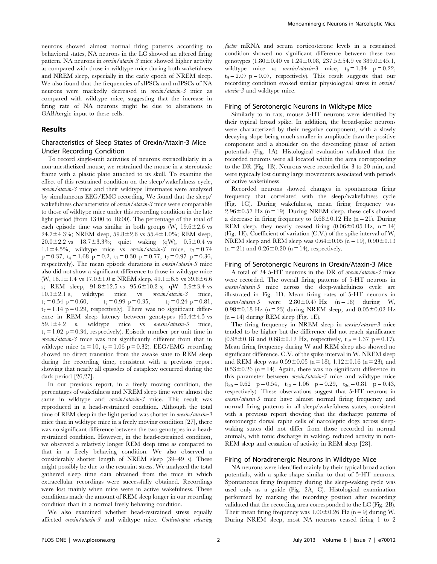neurons showed almost normal firing patterns according to behavioral states, NA neurons in the LC showed an altered firing pattern. NA neurons in *orexin/ataxin-3* mice showed higher activity as compared with those in wildtype mice during both wakefulness and NREM sleep, especially in the early epoch of NREM sleep. We also found that the frequencies of sIPSCs and mIPSCs of NA neurons were markedly decreased in orexin/ataxin-3 mice as compared with wildtype mice, suggesting that the increase in firing rate of NA neurons might be due to alterations in GABAergic input to these cells.

#### Results

# Characteristics of Sleep States of Orexin/Ataxin-3 Mice Under Recording Condition

To record single-unit activities of neurons extracellularly in a non-anesthetized mouse, we restrained the mouse in a stereotaxic frame with a plastic plate attached to its skull. To examine the effect of this restrained condition on the sleep/wakefulness cycle, orexin/ataxin-3 mice and their wildtype littermates were analyzed by simultaneous EEG/EMG recording. We found that the sleep/ wakefulness characteristics of orexin/ataxin-3 mice were comparable to those of wildtype mice under this recording condition in the late light period (from 13:00 to 18:00). The percentage of the total of each episode time was similar in both groups  $(W, 19.6 \pm 2.6 \text{ vs } 10.6 \pm 1.6 \text{ s})$ 24.7 $\pm$ 4.3%; NREM sleep, 59.8 $\pm$ 2.6 vs 55.4 $\pm$ 1.0%; REM sleep,  $20.0\pm2.2$  vs  $18.7\pm3.3\%$ ; quiet waking (qW),  $0.5\pm0.4$  vs 1.1 $\pm$ 4.5%, wildtype mice vs *orexin/ataxin-3* mice, t<sub>7</sub>= 0.74  $p = 0.37$ ,  $t_4 = 1.68$   $p = 0.2$ ,  $t_7 = 0.30$   $p = 0.77$ ,  $t_7 = 0.97$   $p = 0.36$ , respectively). The mean episode durations in *orexin/ataxin-3* mice also did not show a significant difference to those in wildtype mice (W,  $16.1 \pm 1.4$  vs  $17.0 \pm 1.0$  s; NREM sleep,  $49.1 \pm 6.5$  vs  $39.8 \pm 6.6$ s; REM sleep,  $91.8 \pm 12.5$  vs  $95.6 \pm 10.2$  s; qW  $5.9 \pm 3.4$  vs  $10.3 \pm 2.1$  s, wildtype mice vs orexin/ataxin-3 mice,  $t_7 = 0.54$  p = 0.60,  $t_7 = 0.99$  p = 0.35,  $t_7 = 0.24$  p = 0.81,  $t_7 = 1.14$  p = 0.29, respectively). There was no significant difference in REM sleep latency between genotypes  $(65.4 \pm 4.5 \text{ vs } 10^{-10})$  $59.1 \pm 4.2$  s, wildtype mice vs orexin/ataxin-3 mice,  $t_7 = 1.02$  p = 0.34, respectively). Episode number per unit time in orexin/ataxin-3 mice was not significantly different from that in wildtype mice (n = 10, t<sub>7</sub> = 1.06 p = 0.32). EEG/EMG recording showed no direct transition from the awake state to REM sleep during the recording time, consistent with a previous report showing that nearly all episodes of cataplexy occurred during the dark period [26,27].

In our previous report, in a freely moving condition, the percentages of wakefulness and NREM sleep time were almost the same in wildtype and orexin/ataxin-3 mice. This result was reproduced in a head-restrained condition. Although the total time of REM sleep in the light period was shorter in *orexin/ataxin-3* mice than in wildtype mice in a freely moving condition [27], there was no significant difference between the two genotypes in a headrestrained condition. However, in the head-restrained condition, we observed a relatively longer REM sleep time as compared to that in a freely behaving condition. We also observed a considerably shorter length of NREM sleep (39–49 s). These might possibly be due to the restraint stress. We analyzed the total gathered sleep time data obtained from the mice in which extracellular recordings were successfully obtained. Recordings were lost mainly when mice were in active wakefulness. These conditions made the amount of REM sleep longer in our recording condition than in a normal freely behaving condition.

We also examined whether head-restrained stress equally affected orexin/ataxin-3 and wildtype mice. Corticotropin releasing factor mRNA and serum corticosterone levels in a restrained condition showed no significant difference between these two genotypes  $(1.80 \pm 0.40 \text{ vs } 1.24 \pm 0.08, 237.5 \pm 54.9 \text{ vs } 389.0 \pm 45.1,$ wildtype mice vs *orexin/ataxin-3* mice,  $t_8 = 1.34$  p = 0.22,  $t_9 = 2.07$  p = 0.07, respectively). This result suggests that our recording condition evoked similar physiological stress in orexin/ ataxin-3 and wildtype mice.

#### Firing of Serotonergic Neurons in Wildtype Mice

Similarly to in rats, mouse 5-HT neurons were identified by their typical broad spike. In addition, the broad-spike neurons were characterized by their negative component, with a slowly decaying slope being much smaller in amplitude than the positive component and a shoulder on the descending phase of action potentials (Fig. 1A). Histological evaluation validated that the recorded neurons were all located within the area corresponding to the DR (Fig. 1B). Neurons were recorded for 3 to 20 min, and were typically lost during large movements associated with periods of active wakefulness.

Recorded neurons showed changes in spontaneous firing frequency that correlated with the sleep/wakefulness cycle (Fig. 1C). During wakefulness, mean firing frequency was  $2.96\pm0.57$  Hz (n = 19). During NREM sleep, these cells showed a decrease in firing frequency to  $0.68 \pm 0.12$  Hz (n = 21). During REM sleep, they nearly ceased firing  $(0.06 \pm 0.05 \text{ Hz}, n = 14)$ (Fig. 1E). Coefficient of variation (C.V.) of the spike interval of W, NREM sleep and REM sleep was  $0.64 \pm 0.05$  (n = 19),  $0.90 \pm 0.13$  $(n = 21)$  and  $0.26 \pm 0.20$   $(n = 14)$ , respectively.

#### Firing of Serotonergic Neurons in Orexin/Ataxin-3 Mice

A total of 24 5-HT neurons in the DR of orexin/ataxin-3 mice were recorded. The overall firing patterns of 5-HT neurons in orexin/ataxin-3 mice across the sleep-wakefulness cycle are illustrated in Fig. 1D. Mean firing rates of 5-HT neurons in orexin/ataxin-3 were  $2.80 \pm 0.47$  Hz (n = 18) during W,  $0.98\pm0.18$  Hz (n = 23) during NREM sleep, and  $0.05\pm0.02$  Hz  $(n = 14)$  during REM sleep (Fig. 1E).

The firing frequency in NREM sleep in orexin/ataxin-3 mice tended to be higher but the difference did not reach significance  $(0.98\pm0.18$  and  $0.68\pm0.12$  Hz, respectively,  $t_{42} = 1.37$  p = 0.17). Mean firing frequency during W and REM sleep also showed no significant difference. C.V. of the spike interval in W, NREM sleep and REM sleep was  $0.59 \pm 0.05$  (n = 18),  $1.12 \pm 0.16$  (n = 23), and  $0.53\pm0.26$  (n = 14). Again, there was no significant difference in this parameter between orexin/ataxin-3 mice and wildtype mice  $(t_{35}= 0.62 \text{ } p = 0.54, t_{42}= 1.06 \text{ } p = 0.29, t_{26}= 0.81 \text{ } p = 0.43,$ respectively). These observations suggest that 5-HT neurons in orexin/ataxin-3 mice have almost normal firing frequency and normal firing patterns in all sleep/wakefulness states, consistent with a previous report showing that the discharge patterns of serotonergic dorsal raphe cells of narcoleptic dogs across sleepwaking states did not differ from those recorded in normal animals, with tonic discharge in waking, reduced activity in non-REM sleep and cessation of activity in REM sleep [28].

#### Firing of Noradrenergic Neurons in Wildtype Mice

NA neurons were identified mainly by their typical broad action potentials, with a spike shape similar to that of 5-HT neurons. Spontaneous firing frequency during the sleep-waking cycle was used only as a guide (Fig. 2A, C). Histological examination performed by marking the recording position after recording validated that the recording area corresponded to the LC (Fig. 2B). Their mean firing frequency was  $1.00\pm0.26$  Hz (n = 9) during W. During NREM sleep, most NA neurons ceased firing 1 to 2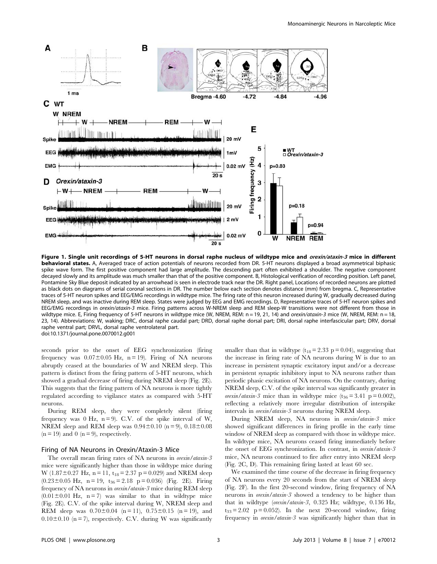

Figure 1. Single unit recordings of 5-HT neurons in dorsal raphe nucleus of wildtype mice and orexin/ataxin-3 mice in different behavioral states. A, Averaged trace of action potentials of neurons recorded from DR. 5-HT neurons displayed a broad asymmetrical biphasic spike wave form. The first positive component had large amplitude. The descending part often exhibited a shoulder. The negative component decayed slowly and its amplitude was much smaller than that of the positive component. B, Histological verification of recording position. Left panel, Pontamine Sky Blue deposit indicated by an arrowhead is seen in electrode track near the DR. Right panel, Locations of recorded neurons are plotted as black dots on diagrams of serial coronal sections in DR. The number below each section denotes distance (mm) from bregma. C, Representative traces of 5-HT neuron spikes and EEG/EMG recordings in wildtype mice. The firing rate of this neuron increased during W, gradually decreased during NREM sleep, and was inactive during REM sleep. States were judged by EEG and EMG recordings. D, Representative traces of 5-HT neuron spikes and EEG/EMG recordings in orexin/ataxin-3 mice. Firing patterns across W-NREM sleep and REM sleep-W transitions were not different from those in wildtype mice. E, Firing frequency of 5-HT neurons in wildtype mice (W, NREM, REM: n = 19, 21, 14) and orexin/ataxin-3 mice (W, NREM, REM: n = 18, 23, 14). Abbreviations: W, waking; DRC, dorsal raphe caudal part; DRD, dorsal raphe dorsal part; DRI, dorsal raphe interfascicular part; DRV, dorsal raphe ventral part; DRVL, dorsal raphe ventrolateral part. doi:10.1371/journal.pone.0070012.g001

seconds prior to the onset of EEG synchronization (firing frequency was  $0.07 \pm 0.05$  Hz, n = 19). Firing of NA neurons abruptly ceased at the boundaries of W and NREM sleep. This pattern is distinct from the firing pattern of 5-HT neurons, which showed a gradual decrease of firing during NREM sleep (Fig. 2E). This suggests that the firing pattern of NA neurons is more tightly regulated according to vigilance states as compared with 5-HT neurons.

During REM sleep, they were completely silent (firing frequency was 0 Hz,  $n = 9$ ). C.V. of the spike interval of W, NREM sleep and REM sleep was  $0.94 \pm 0.10$  (n = 9),  $0.18 \pm 0.08$  $(n = 19)$  and 0  $(n = 9)$ , respectively.

## Firing of NA Neurons in Orexin/Ataxin-3 Mice

The overall mean firing rates of NA neurons in *orexin/ataxin-3* mice were significantly higher than those in wildtype mice during W (1.87 $\pm$ 0.27 Hz, n = 11, t<sub>18</sub> = 2.37 p = 0.029) and NREM sleep  $(0.23 \pm 0.05 \text{ Hz}, \text{ n} = 19, \text{ t}_{36} = 2.18 \text{ p} = 0.036)$  (Fig. 2E). Firing frequency of NA neurons in orexin/ataxin-3 mice during REM sleep  $(0.01 \pm 0.01$  Hz, n = 7) was similar to that in wildtype mice (Fig. 2E). C.V. of the spike interval during W, NREM sleep and REM sleep was  $0.70 \pm 0.04$  (n = 11),  $0.75 \pm 0.15$  (n = 19), and  $0.10\pm0.10$  (n = 7), respectively. C.V. during W was significantly smaller than that in wildtype  $(t_{18} = 2.33 \text{ p} = 0.04)$ , suggesting that the increase in firing rate of NA neurons during W is due to an increase in persistent synaptic excitatory input and/or a decrease in persistent synaptic inhibitory input to NA neurons rather than periodic phasic excitation of NA neurons. On the contrary, during NREM sleep, C.V. of the spike interval was significantly greater in *orexin/ataxin-3* mice than in wildtype mice  $(t_{36} = 3.41 \text{ p} = 0.002)$ , reflecting a relatively more irregular distribution of interspike intervals in orexin/ataxin-3 neurons during NREM sleep.

During NREM sleep, NA neurons in orexin/ataxin-3 mice showed significant differences in firing profile in the early time window of NREM sleep as compared with those in wildtype mice. In wildtype mice, NA neurons ceased firing immediately before the onset of EEG synchronization. In contrast, in orexin/ataxin-3 mice, NA neurons continued to fire after entry into NREM sleep (Fig. 2C, D). This remaining firing lasted at least 60 sec.

We examined the time course of the decrease in firing frequency of NA neurons every 20 seconds from the start of NREM sleep (Fig. 2F). In the first 20-second window, firing frequency of NA neurons in *orexin/ataxin-3* showed a tendency to be higher than that in wildtype (orexin/ataxin-3, 0.325 Hz; wildtype, 0.136 Hz,  $t_{33} = 2.02$  p = 0.052). In the next 20-second window, firing frequency in orexin/ataxin-3 was significantly higher than that in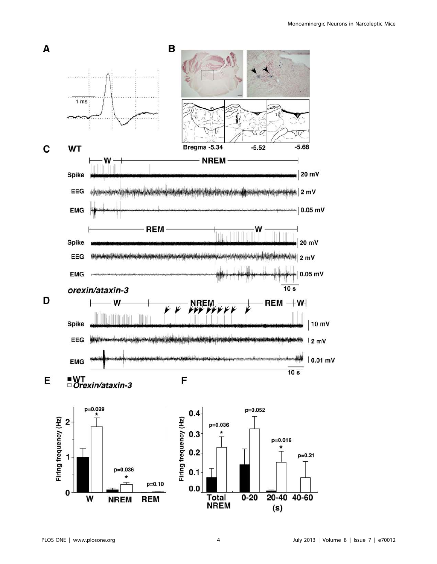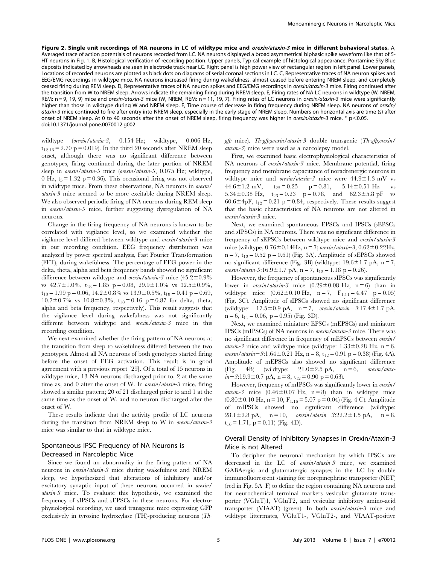Figure 2. Single unit recordings of NA neurons in LC of wildtype mice and *orexin/ataxin-3* mice in different behavioral states. A, Averaged trace of action potentials of neurons recorded from LC. NA neurons displayed a broad asymmetrical biphasic spike waveform like that of 5- HT neurons in Fig. 1. B, Histological verification of recording position. Upper panels, Typical example of histological appearance. Pontamine Sky Blue deposits indicated by arrowheads are seen in electrode track near LC. Right panel is high power view of rectangular region in left panel. Lower panels, Locations of recorded neurons are plotted as black dots on diagrams of serial coronal sections in LC. C, Representative traces of NA neuron spikes and EEG/EMG recordings in wildtype mice. NA neurons increased firing during wakefulness, almost ceased before entering NREM sleep, and completely ceased firing during REM sleep. D, Representative traces of NA neuron spikes and EEG/EMG recordings in orexin/ataxin-3 mice. Firing continued after the transition from W to NREM sleep. Arrows indicate the remaining firing during NREM sleep. E, Firing rates of NA LC neurons in wildtype (W, NREM, REM: n = 9, 19, 9) mice and orexin/ataxin-3 mice (W, NREM, REM: n = 11, 19, 7). Firing rates of LC neurons in orexin/ataxin-3 mice were significantly higher than those in wildtype during W and NREM sleep. F, Time course of decrease in firing frequency during NREM sleep. NA neurons of orexin/ ataxin-3 mice continued to fire after entry into NREM sleep, especially in the early stage of NREM sleep. Numbers on horizontal axis are time (s) after onset of NREM sleep. At 0 to 40 seconds after the onset of NREM sleep, firing frequency was higher in *orexin/ataxin-3* mice. \*  $p<0.05$ . doi:10.1371/journal.pone.0070012.g002

wildtype (orexin/ataxin-3, 0.154 Hz; wildtype, 0.006 Hz,  $t_{12.16} = 2.70$  p = 0.019). In the third 20 seconds after NREM sleep onset, although there was no significant difference between genotypes, firing continued during the later portion of NREM sleep in *orexin/ataxin-3* mice (*orexin/ataxin-3*, 0.075 Hz; wildtype, 0 Hz,  $t_5 = 1.32$  p = 0.36). This occasional firing was not observed in wildtype mice. From these observations, NA neurons in orexin/ ataxin-3 mice seemed to be more excitable during NREM sleep. We also observed periodic firing of NA neurons during REM sleep in orexin/ataxin-3 mice, further suggesting dysregulation of NA neurons.

Change in the firing frequency of NA neurons is known to be correlated with vigilance level, so we examined whether the vigilance level differed between wildtype and *orexin/ataxin-3* mice in our recording condition. EEG frequency distribution was analyzed by power spectral analysis, Fast Fourier Transformation (FFT), during wakefulness. The percentage of EEG power in the delta, theta, alpha and beta frequency bands showed no significant difference between wildtype and *orexin/ataxin-3* mice  $(45.2 \pm 0.9\%)$ vs  $42.7 \pm 1.0\%$ ,  $t_{18} = 1.85$  p = 0.08,  $29.9 \pm 1.0\%$  vs  $32.5 \pm 0.9\%$ ,  $t_{18} = 1.99$  p = 0.06,  $14.2 \pm 0.8\%$  vs  $13.9 \pm 0.5\%$ ,  $t_{18} = 0.41$  p = 0.69,  $10.7\pm0.7\%$  vs  $10.8\pm0.3\%$ ,  $t_{18}=0.16$  p = 0.87 for delta, theta, alpha and beta frequency, respectively). This result suggests that the vigilance level during wakefulness was not significantly different between wildtype and orexin/ataxin-3 mice in this recording condition.

We next examined whether the firing pattern of NA neurons at the transition from sleep to wakefulness differed between the two genotypes. Almost all NA neurons of both genotypes started firing before the onset of EEG activation. This result is in good agreement with a previous report [29]. Of a total of 15 neurons in wildtype mice, 13 NA neurons discharged prior to, 2 at the same time as, and 0 after the onset of W. In orexin/ataxin-3 mice, firing showed a similar pattern; 20 of 21 discharged prior to and 1 at the same time as the onset of W, and no neuron discharged after the onset of W.

These results indicate that the activity profile of LC neurons during the transition from NREM sleep to W in orexin/ataxin-3 mice was similar to that in wildtype mice.

# Spontaneous IPSC Frequency of NA Neurons is Decreased in Narcoleptic Mice

Since we found an abnormality in the firing pattern of NA neurons in orexin/ataxin-3 mice during wakefulness and NREM sleep, we hypothesized that alterations of inhibitory and/or excitatory synaptic input of these neurons occurred in orexin/ ataxin-3 mice. To evaluate this hypothesis, we examined the frequency of sIPSCs and sEPSCs in these neurons. For electrophysiological recording, we used transgenic mice expressing GFP exclusively in tyrosine hydroxylase (TH)-producing neurons (Th-

# gfp mice). Th-gfp;orexin/ataxin-3 double transgenic (Th-gfp;orexin/ ataxin-3) mice were used as a narcolepsy model.

First, we examined basic electrophysiological characteristics of NA neurons of orexin/ataxin-3 mice. Membrane potential, firing frequency and membrane capacitance of noradrenergic neurons in wildtype mice and *orexin/ataxin-3* mice were  $44.9 \pm 1.3$  mV vs 44.6 $\pm$ 1.2 mV, t<sub>25</sub> = 0.25 p = 0.81, 5.14 $\pm$ 0.51 Hz vs 5.34 $\pm$ 0.38 Hz, t<sub>23</sub> = 0.23 p = 0.78, and 62.3 $\pm$ 5.8 pF vs 60.6 $\pm$ 4pF, t<sub>12</sub> = 0.21 p = 0.84, respectively. These results suggest that the basic characteristics of NA neurons are not altered in orexin/ataxin-3 mice.

Next, we examined spontaneous EPSCs and IPSCs (sEPSCs and sIPSCs) in NA neurons. There was no significant difference in frequency of sEPSCs between wildtype mice and orexin/ataxin-3 mice (wildtype,  $0.76 \pm 0.14$ Hz, n = 7; orexin/ataxin-3,  $0.62 \pm 0.22$ Hz,  $n = 7$ ,  $t_{12} = 0.52$  p = 0.61) (Fig. 3A). Amplitude of sEPSCs showed no significant difference (Fig. 3B) (wildtype:  $19.6 \pm 1.7$  pA, n = 7, orexin/ataxin-3:16.9 $\pm$ 1.7 pA, n = 7, t<sub>12</sub> = 1.18 p = 0.26).

However, the frequency of spontaneous sIPSCs was significantly lower in *orexin/ataxin-3* mice  $(0.29 \pm 0.08 \text{ Hz}, n = 6)$  than in wildtype mice  $(0.62 \pm 0.10 \text{ Hz}, \text{ n = 7}, \text{ F}_{1.11} = 4.47 \text{ p} = 0.05)$ (Fig. 3C). Amplitude of sIPSCs showed no significant difference (wildtype:  $17.5 \pm 0.9$  pA,  $n = 7$ , orexin/ataxin-3:17.4 $\pm$ 1.7 pA,  $n = 6$ ,  $t_{11} = 0.06$ ,  $p = 0.95$ ) (Fig. 3D).

Next, we examined miniature EPSCs (mEPSCs) and miniature IPSCs (mIPSCs) of NA neurons in orexin/ataxin-3 mice. There was no significant difference in frequency of mEPSCs between orexin/ ataxin-3 mice and wildtype mice (wildtype:  $1.33 \pm 0.28$  Hz, n = 6, orexin/ataxin - 3:1.64  $\pm$  0.21 Hz, n = 8, t<sub>12</sub> = 0.91 p = 0.38) (Fig. 4A). Amplitude of mEPSCs also showed no significant difference (Fig. 4B) (wildtype:  $21.0 \pm 2.5$  pA,  $n = 6$ , orexin/atax $in-3:19.9\pm0.7$  pA,  $n = 8$ ,  $t_{12} = 0.90$  p = 0.63).

However, frequency of mIPSCs was significantly lower in orexin/ ataxin-3 mice  $(0.46 \pm 0.07 \text{ Hz}, \text{ n = 8})$  than in wildtype mice  $(0.80\pm0.10 \text{ Hz}, n = 10, F_{1.16} = 5.07 \text{ p} = 0.04)$  (Fig. 4 C). Amplitude of mIPSCs showed no significant difference (wildtype: 28.1 $\pm$ 2.8 pA, n = 10, orexin/ataxin - 3:22.2 $\pm$ 1.5 pA, n = 8,  $t_{16} = 1.71$ ,  $p = 0.11$ ) (Fig. 4D).

# Overall Density of Inhibitory Synapses in Orexin/Ataxin-3 Mice is not Altered

To decipher the neuronal mechanism by which IPSCs are decreased in the LC of orexin/ataxin-3 mice, we examined GABAergic and glutamatergic synapses in the LC by double immunofluorescent staining for norepinephrine transporter (NET) (red in Fig. 5A–F) to define the region containing NA neurons and for neurochemical terminal markers vesicular glutamate transporter (VGluT)1, VGluT2, and vesicular inhibitory amino-acid transporter (VIAAT) (green). In both orexin/ataxin-3 mice and wildtype littermates, VGluT1-, VGluT2-, and VIAAT-positive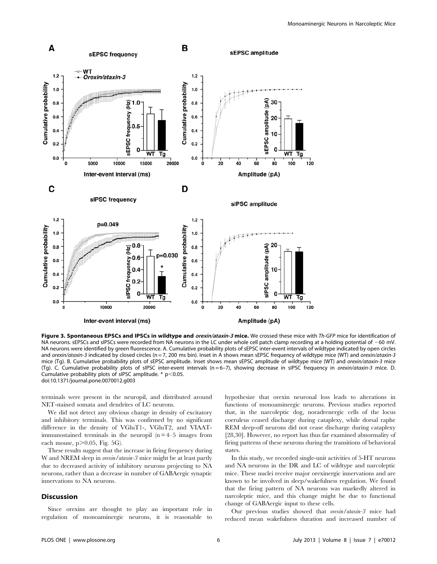

Figure 3. Spontaneous EPSCs and IPSCs in wildtype and orexin/ataxin-3 mice. We crossed these mice with Th-GFP mice for identification of NA neurons. sEPSCs and sIPSCs were recorded from NA neurons in the LC under whole cell patch clamp recording at a holding potential of  $-60$  mV. NA neurons were identified by green fluorescence. A. Cumulative probability plots of sEPSC inter-event intervals of wildtype indicated by open circles and orexin/ataxin-3 indicated by closed circles (n = 7, 200 ms bin). Inset in A shows mean sEPSC frequency of wildtype mice (WT) and orexin/ataxin-3 mice (Tg). B. Cumulative probability plots of sEPSC amplitude. Inset shows mean sEPSC amplitude of wildtype mice (WT) and orexin/ataxin-3 mice (Tg). C. Cumulative probability plots of sIPSC inter-event intervals (n = 6–7), showing decrease in sIPSC frequency in orexin/ataxin-3 mice. D. Cumulative probability plots of sIPSC amplitude.  $* p$ <0.05. doi:10.1371/journal.pone.0070012.g003

terminals were present in the neuropil, and distributed around NET-stained somata and dendrites of LC neurons.

We did not detect any obvious change in density of excitatory and inhibitory terminals. This was confirmed by no significant difference in the density of VGluT1-, VGluT2, and VIAATimmunostained terminals in the neuropil  $(n = 4-5)$  images from each mouse,  $p > 0.05$ , Fig. 5G).

These results suggest that the increase in firing frequency during W and NREM sleep in *orexin/ataxin-3* mice might be at least partly due to decreased activity of inhibitory neurons projecting to NA neurons, rather than a decrease in number of GABAergic synaptic innervations to NA neurons.

# **Discussion**

Since orexins are thought to play an important role in regulation of monoaminergic neurons, it is reasonable to hypothesize that orexin neuronal loss leads to alterations in functions of monoaminergic neurons. Previous studies reported that, in the narcoleptic dog, noradrenergic cells of the locus coeruleus ceased discharge during cataplexy, while dorsal raphe REM sleep-off neurons did not cease discharge during cataplexy [28,30]. However, no report has thus far examined abnormality of firing patterns of these neurons during the transitions of behavioral states.

In this study, we recorded single-unit activities of 5-HT neurons and NA neurons in the DR and LC of wildtype and narcoleptic mice. These nuclei receive major orexinergic innervations and are known to be involved in sleep/wakefulness regulation. We found that the firing pattern of NA neurons was markedly altered in narcoleptic mice, and this change might be due to functional change of GABAergic input to these cells.

Our previous studies showed that orexin/ataxin-3 mice had reduced mean wakefulness duration and increased number of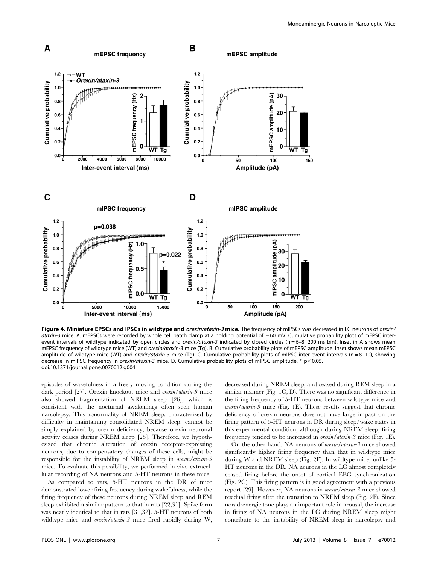

Figure 4. Miniature EPSCs and IPSCs in wildtype and orexin/ataxin-3 mice. The frequency of mIPSCs was decreased in LC neurons of orexin/ ataxin-3 mice. A. mEPSCs were recorded by whole cell patch clamp at a holding potential of  $-60$  mV. Cumulative probability plots of mEPSC interevent intervals of wildtype indicated by open circles and orexin/ataxin-3 indicated by closed circles (n = 6-8, 200 ms bin). Inset in A shows mean mEPSC frequency of wildtype mice (WT) and orexin/ataxin-3 mice (Tg). B. Cumulative probability plots of mEPSC amplitude. Inset shows mean mEPSC amplitude of wildtype mice (WT) and orexin/ataxin-3 mice (Tg). C. Cumulative probability plots of mIPSC inter-event intervals (n = 8-10), showing decrease in mIPSC frequency in orexin/ataxin-3 mice. D. Cumulative probability plots of mIPSC amplitude. \* p<0.05. doi:10.1371/journal.pone.0070012.g004

episodes of wakefulness in a freely moving condition during the dark period [27]. Orexin knockout mice and *orexin/ataxin-3* mice also showed fragmentation of NREM sleep [26], which is consistent with the nocturnal awakenings often seen human narcolepsy. This abnormality of NREM sleep, characterized by difficulty in maintaining consolidated NREM sleep, cannot be simply explained by orexin deficiency, because orexin neuronal activity ceases during NREM sleep [25]. Therefore, we hypothesized that chronic alteration of orexin receptor-expressing neurons, due to compensatory changes of these cells, might be responsible for the instability of NREM sleep in orexin/ataxin-3 mice. To evaluate this possibility, we performed in vivo extracellular recording of NA neurons and 5-HT neurons in these mice.

As compared to rats, 5-HT neurons in the DR of mice demonstrated lower firing frequency during wakefulness, while the firing frequency of these neurons during NREM sleep and REM sleep exhibited a similar pattern to that in rats [22,31]. Spike form was nearly identical to that in rats [31,32]. 5-HT neurons of both wildtype mice and *orexin/ataxin-3* mice fired rapidly during W, decreased during NREM sleep, and ceased during REM sleep in a similar manner (Fig. 1C, D). There was no significant difference in the firing frequency of 5-HT neurons between wildtype mice and orexin/ataxin-3 mice (Fig. 1E). These results suggest that chronic deficiency of orexin neurons does not have large impact on the firing pattern of 5-HT neurons in DR during sleep/wake states in this experimental condition, although during NREM sleep, firing frequency tended to be increased in orexin/ataxin-3 mice (Fig. 1E).

On the other hand, NA neurons of orexin/ataxin-3 mice showed significantly higher firing frequency than that in wildtype mice during W and NREM sleep (Fig. 2E). In wildtype mice, unlike 5- HT neurons in the DR, NA neurons in the LC almost completely ceased firing before the onset of cortical EEG synchronization (Fig. 2C). This firing pattern is in good agreement with a previous report [29]. However, NA neurons in orexin/ataxin-3 mice showed residual firing after the transition to NREM sleep (Fig. 2F). Since noradrenergic tone plays an important role in arousal, the increase in firing of NA neurons in the LC during NREM sleep might contribute to the instability of NREM sleep in narcolepsy and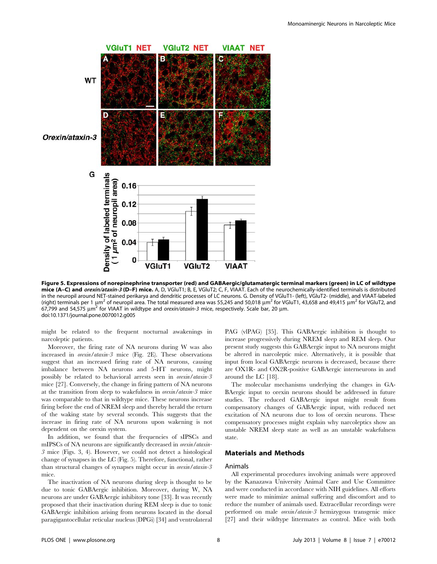

Figure 5. Expressions of norepinephrine transporter (red) and GABAergic/glutamatergic terminal markers (green) in LC of wildtype mice (A–C) and *orexin/ataxin-3* (D–F) mice. A, D, VGluT1; B, E, VGluT2; C, F, VIAAT. Each of the neurochemically-identified terminals is distributed in the neuropil around NET-stained perikarya and dendritic processes of LC neurons. G. Density of VGluT1- (left), VGluT2- (middle), and VIAAT-labeled (right) terminals per 1  $\mu$ m<sup>2</sup> of neuropil area. The total measured area was 55,245 and 50,018  $\mu$ m<sup>2</sup> for VGluT1, 43,658 and 49,415  $\mu$ m<sup>2</sup> for VGluT2, and 67,799 and 54,575  $\mu$ m<sup>2</sup> for VIAAT in wildtype and *orexin/ataxin-3* mice, respectively. Scale bar, 20  $\mu$ m. doi:10.1371/journal.pone.0070012.g005

might be related to the frequent nocturnal awakenings in narcoleptic patients.

Moreover, the firing rate of NA neurons during W was also increased in orexin/ataxin-3 mice (Fig. 2E). These observations suggest that an increased firing rate of NA neurons, causing imbalance between NA neurons and 5-HT neurons, might possibly be related to behavioral arrests seen in orexin/ataxin-3 mice [27]. Conversely, the change in firing pattern of NA neurons at the transition from sleep to wakefulness in orexin/ataxin-3 mice was comparable to that in wildtype mice. These neurons increase firing before the end of NREM sleep and thereby herald the return of the waking state by several seconds. This suggests that the increase in firing rate of NA neurons upon wakening is not dependent on the orexin system.

In addition, we found that the frequencies of sIPSCs and mIPSCs of NA neurons are significantly decreased in orexin/ataxin-3 mice (Figs. 3, 4). However, we could not detect a histological change of synapses in the LC (Fig. 5). Therefore, functional, rather than structural changes of synapses might occur in orexin/ataxin-3 mice.

The inactivation of NA neurons during sleep is thought to be due to tonic GABAergic inhibition. Moreover, during W, NA neurons are under GABAergic inhibitory tone [33]. It was recently proposed that their inactivation during REM sleep is due to tonic GABAergic inhibition arising from neurons located in the dorsal paragigantocellular reticular nucleus (DPGi) [34] and ventrolateral PAG (vlPAG) [35]. This GABAergic inhibition is thought to increase progressively during NREM sleep and REM sleep. Our present study suggests this GABAergic input to NA neurons might be altered in narcoleptic mice. Alternatively, it is possible that input from local GABAergic neurons is decreased, because there are OX1R- and OX2R-positive GABAergic interneurons in and around the LC [18].

The molecular mechanisms underlying the changes in GA-BAergic input to orexin neurons should be addressed in future studies. The reduced GABAergic input might result from compensatory changes of GABAergic input, with reduced net excitation of NA neurons due to loss of orexin neurons. These compensatory processes might explain why narcoleptics show an unstable NREM sleep state as well as an unstable wakefulness state.

# Materials and Methods

### Animals

All experimental procedures involving animals were approved by the Kanazawa University Animal Care and Use Committee and were conducted in accordance with NIH guidelines. All efforts were made to minimize animal suffering and discomfort and to reduce the number of animals used. Extracellular recordings were performed on male orexin/ataxin-3 hemizygous transgenic mice [27] and their wildtype littermates as control. Mice with both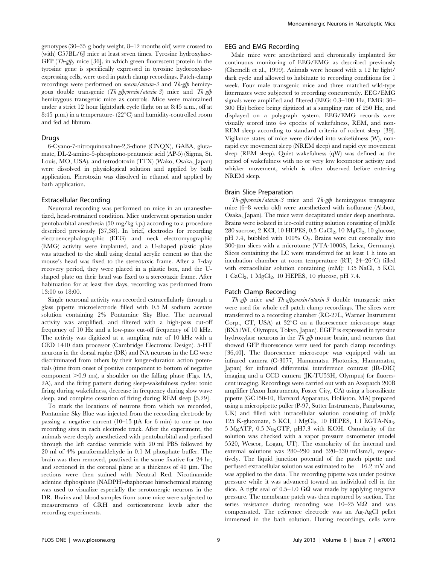genotypes (30–35 g body weight, 8–12 months old) were crossed to (with) C57BL/6J mice at least seven times. Tyrosine hydroxylase-GFP  $(Th\text{-}gfp)$  mice [36], in which green fluorescent protein in the tyrosine gene is specifically expressed in tyrosine hydoroxylaseexpressing cells, were used in patch clamp recordings. Patch-clamp recordings were performed on orexin/ataxin-3 and Th-gfp hemizygous double transgenic  $(Th\text{-}gfp\text{-}orexm/ataxin-3)$  mice and  $Th\text{-}gfp$ hemizygous transgenic mice as controls. Mice were maintained under a strict 12 hour light:dark cycle (light on at 8:45 a.m., off at 8:45 p.m.) in a temperature-  $(22^{\circ}C)$  and humidity-controlled room and fed ad libitum.

#### Drugs

6-Cyano-7-nitroquinoxaline-2,3-dione (CNQX), GABA, glutamate, DL-2-amino-5-phosphono-pentanoic acid (AP-5) (Sigma, St. Louis, MO, USA), and tetrodotoxin (TTX) (Wako, Osaka, Japan) were dissolved in physiological solution and applied by bath application. Picrotoxin was dissolved in ethanol and applied by bath application.

#### Extracellular Recording

Neuronal recording was performed on mice in an unanesthetized, head-restrained condition. Mice underwent operation under pentobarbital anesthesia (50 mg/kg i.p.) according to a procedure described previously [37,38]. In brief, electrodes for recording electroencephalographic (EEG) and neck electromyographic (EMG) activity were implanted, and a U-shaped plastic plate was attached to the skull using dental acrylic cement so that the mouse's head was fixed to the stereotaxic frame. After a 7-day recovery period, they were placed in a plastic box, and the Ushaped plate on their head was fixed to a stereotaxic frame. After habituation for at least five days, recording was performed from 13:00 to 18:00.

Single neuronal activity was recorded extracellularly through a glass pipette microelectrode filled with 0.5 M sodium acetate solution containing 2% Pontamine Sky Blue. The neuronal activity was amplified, and filtered with a high-pass cut-off frequency of 10 Hz and a low-pass cut-off frequency of 10 kHz. The activity was digitized at a sampling rate of 10 kHz with a CED 1410 data processor (Cambridge Electronic Design). 5-HT neurons in the dorsal raphe (DR) and NA neurons in the LC were discriminated from others by their longer-duration action potentials (time from onset of positive component to bottom of negative component  $>0.9$  ms), a shoulder on the falling phase (Figs. 1A, 2A), and the firing pattern during sleep-wakefulness cycles: tonic firing during wakefulness, decrease in frequency during slow wave sleep, and complete cessation of firing during REM sleep [5,29].

To mark the locations of neurons from which we recorded, Pontamine Sky Blue was injected from the recording electrode by passing a negative current  $(10-15 \text{ }\mu\text{A})$  for 6 min) to one or two recording sites in each electrode track. After the experiment, the animals were deeply anesthetized with pentobarbital and perfused through the left cardiac ventricle with 20 ml PBS followed by 20 ml of 4% paraformaldehyde in 0.1 M phosphate buffer. The brain was then removed, postfixed in the same fixative for 24 hr, and sectioned in the coronal plane at a thickness of  $40 \mu m$ . The sections were then stained with Neutral Red. Nicotinamide adenine diphosphate (NADPH)-diaphorase histochemical staining was used to visualize especially the serotonergic neurons in the DR. Brains and blood samples from some mice were subjected to measurements of CRH and corticosterone levels after the recording experiments.

#### EEG and EMG Recording

Male mice were anesthetized and chronically implanted for continuous monitoring of EEG/EMG as described previously (Chemelli et al., 1999). Animals were housed with a 12 hr light/ dark cycle and allowed to habituate to recording conditions for 1 week. Four male transgenic mice and three matched wild-type littermates were subjected to recording concurrently. EEG/EMG signals were amplified and filtered (EEG: 0.3–100 Hz, EMG: 30– 300 Hz) before being digitized at a sampling rate of 250 Hz, and displayed on a polygraph system. EEG/EMG records were visually scored into 4-s epochs of wakefulness, REM, and non-REM sleep according to standard criteria of rodent sleep [39]. Vigilance states of mice were divided into wakefulness (W), nonrapid eye movement sleep (NREM sleep) and rapid eye movement sleep (REM sleep). Quiet wakefulness (qW) was defined as the period of wakefulness with no or very low locomotor activity and whisker movement, which is often observed before entering NREM sleep.

#### Brain Slice Preparation

Th-gfp;orexin/ataxin-3 mice and Th-gfp hemizygous transgenic mice (6–8 weeks old) were anesthetized with isoflurane (Abbott, Osaka, Japan). The mice were decapitated under deep anesthesia. Brains were isolated in ice-cold cutting solution consisting of (mM): 280 sucrose, 2 KCl, 10 HEPES, 0.5 CaCl<sub>2</sub>, 10  $MgCl<sub>2</sub>$ , 10 glucose, pH 7.4, bubbled with 100%  $O_2$ . Brains were cut coronally into 300-um slices with a microtome (VTA-1000S, Leica, Germany). Slices containing the LC were transferred for at least 1 h into an incubation chamber at room temperature (RT;  $24-26^{\circ}C$ ) filled with extracellular solution containing (mM): 135 NaCl, 5 KCl, 1 CaCl2, 1 MgCl2, 10 HEPES, 10 glucose, pH 7.4.

#### Patch Clamp Recording

Th-gfp mice and Th-gfp;orexin/ataxin-3 double transgenic mice were used for whole cell patch clamp recordings. The slices were transferred to a recording chamber (RC-27L, Warner Instrument Corp., CT, USA) at  $32^{\circ}$ C on a fluorescence microscope stage (BX51WI, Olympus, Tokyo, Japan). EGFP is expressed in tyrosine hydroxylase neurons in the  $Th-gfp$  mouse brain, and neurons that showed GFP fluorescence were used for patch clamp recordings [36,40]. The fluorescence microscope was equipped with an infrared camera (C-3077, Hamamatsu Photonics, Hamamatsu, Japan) for infrared differential interference contrast (IR-DIC) imaging and a CCD camera (JK-TU53H, Olympus) for fluorescent imaging. Recordings were carried out with an Axopatch 200B amplifier (Axon Instruments, Foster City, CA) using a borosilicate pipette (GC150-10, Harvard Apparatus, Holliston, MA) prepared using a micropipette puller (P-97, Sutter Instruments, Pangbourne, UK) and filled with intracellular solution consisting of (mM): 125 K-gluconate, 5 KCl, 1 MgCl<sub>2</sub>, 10 HEPES, 1.1 EGTA-Na<sub>3</sub>, 5 MgATP, 0.5 Na<sub>2</sub>GTP, pH7.3 with KOH. Osmolarity of the solution was checked with a vapor pressure osmometer (model 5520, Wescor, Logan, UT). The osmolarity of the internal and external solutions was 280–290 and 320–330 mOsm/l, respectively. The liquid junction potential of the patch pipette and perfused extracellular solution was estimated to be  $-16.2$  mV and was applied to the data. The recording pipette was under positive pressure while it was advanced toward an individual cell in the slice. A tight seal of  $0.5-1.0$  G $\Omega$  was made by applying negative pressure. The membrane patch was then ruptured by suction. The series resistance during recording was  $10-25$  M $\Omega$  and was compensated. The reference electrode was an Ag-AgCl pellet immersed in the bath solution. During recordings, cells were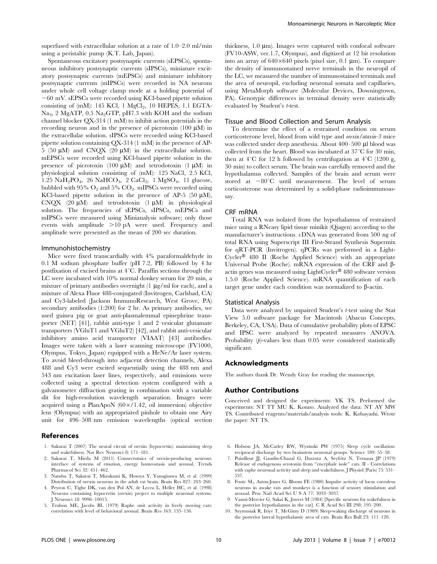superfused with extracellular solution at a rate of 1.0–2.0 ml/min using a peristaltic pump (K.T. Lab, Japan).

Spontaneous excitatory postsynaptic currents (sEPSCs), spontaneous inhibitory postsynaptic currents (sIPSCs), miniature excitatory postsynaptic currents (mEPSCs) and miniature inhibitory postsynaptic currents (mIPSCs) were recorded in NA neurons under whole cell voltage clamp mode at a holding potential of  $-60$  mV. sEPSCs were recorded using KCl-based pipette solution consisting of  $(mM)$ : 145 KCl, 1 MgCl<sub>2</sub>, 10 HEPES, 1.1 EGTA-Na<sub>3</sub>, 2 MgATP, 0.5 Na<sub>2</sub>GTP, pH7.3 with KOH and the sodium channel blocker QX-314 (1 mM) to inhibit action potentials in the recording neuron and in the presence of picrotoxin  $(100 \mu M)$  in the extracellular solution. sIPSCs were recorded using KCl-based pipette solution containing QX-314 (1 mM) in the presence of AP-5 (50  $\mu$ M) and CNQX (20  $\mu$ M) in the extracellular solution. mEPSCs were recorded using KCl-based pipette solution in the presence of picrotoxin (100  $\mu$ M) and tetrodotoxin (1  $\mu$ M) in physiological solution consisting of (mM): 125 NaCl, 2.5 KCl,  $1.25$  NaH<sub>2</sub>PO<sub>4</sub>, 26 NaHCO<sub>3</sub>, 2 CaCl<sub>2</sub>, 1 MgSO<sub>4</sub>, 11 glucose, bubbled with 95%  $O_2$  and 5%  $CO_2$ . mIPSCs were recorded using KCl-based pipette solution in the presence of AP-5 (50  $\mu$ M), CNQX  $(20 \mu M)$  and tetrodotoxin  $(1 \mu M)$  in physiological solution. The frequencies of sEPSCs, sIPSCs, mEPSCs and mIPSCs were measured using Minianalysis software; only those events with amplitude  $>10$  pA were used. Frequency and amplitude were presented as the mean of 200 sec duration.

### Immunohistochemistry

Mice were fixed transcardially with 4% paraformaldehyde in 0.1 M sodium phosphate buffer (pH 7.2, PB) followed by 4 hr postfixation of excised brains at  $4^{\circ}$ C. Paraffin sections through the LC were incubated with 10% normal donkey serum for 20 min, a mixture of primary antibodies overnight  $(1 \mu g/ml)$  for each), and a mixture of Alexa Fluor 488-conjugated (Invitrogen, Carlsbad, CA) and Cy3-labeled (Jackson ImmunoResearch, West Grove, PA) secondary antibodies (1:200) for 2 hr. As primary antibodies, we used guinea pig or goat anti-plasmalemmal epinephrine transporter (NET) [41], rabbit anti-type 1 and 2 vesicular glutamate transporters (VGluT1 and VGluT2) [42], and rabbit anti-vesicular inhibitory amino acid transporter (VIAAT) [43] antibodies. Images were taken with a laser scanning microscope (FV1000, Olympus, Tokyo, Japan) equipped with a HeNe/Ar laser system. To avoid bleed-through into adjacent detection channels, Alexa 488 and Cy3 were excited sequentially using the 488 nm and 543 nm excitation laser lines, respectively, and emissions were collected using a spectral detection system configured with a galvanometer diffraction grating in combination with a variable slit for high-resolution wavelength separation. Images were acquired using a PlanApoN  $(60 \times 1.42)$ , oil immersion) objective lens (Olympus) with an appropriated pinhole to obtain one Airy unit for 496–508 nm emission wavelengths (optical section

# References

- 1. Sakurai T (2007) The neural circuit of orexin (hypocretin): maintaining sleep and wakefulness. Nat Rev Neurosci 8: 171–181.
- 2. Sakurai T, Mieda M (2011) Connectomics of orexin-producing neurons: interface of systems of emotion, energy homeostasis and arousal. Trends Pharmacol Sci 32: 451–462.
- 3. Nambu T, Sakurai T, Mizukami K, Hosoya Y, Yanagisawa M, et al. (1999) Distribution of orexin neurons in the adult rat brain. Brain Res 827: 243–260.
- 4. Peyron C, Tighe DK, van den Pol AN, de Lecea L, Heller HC, et al. (1998) Neurons containing hypocretin (orexin) project to multiple neuronal systems. J Neurosci 18: 9996–10015.
- 5. Trulson ME, Jacobs BL (1979) Raphe unit activity in freely moving cats: correlation with level of behavioral arousal. Brain Res 163: 135–150.

thickness,  $1.0 \mu m$ ). Images were captured with confocal software (FV10-ASW, ver.1.7, Olympus), and digitized at 12 bit resolution into an array of  $640\times640$  pixels (pixel size, 0.1 µm). To compare the density of immunostained nerve terminals in the neuropil of the LC, we measured the number of immunostained terminals and the area of neuropil, excluding neuronal somata and capillaries, using MetaMorph software (Molecular Devices, Downingtown, PA). Genotypic differences in terminal density were statistically evaluated by Student's  $t$ -test.

#### Tissue and Blood Collection and Serum Analysis

To determine the effect of a restrained condition on serum corticosterone level, blood from wild type and orexin/ataxin-3 mice was collected under deep anesthesia. About 400–500 µl blood was collected from the heart. Blood was incubated at  $37^{\circ}$ C for 30 min, then at  $4^{\circ}$ C for 12 h followed by centrifugation at  $4^{\circ}$ C (1200 g, 30 min) to collect serum. The brain was carefully removed and the hypothalamus collected. Samples of the brain and serum were stored at  $-80^{\circ}$ C until measurement. The level of serum corticosterone was determined by a solid-phase radioimmunoassay.

#### CRF mRNA

Total RNA was isolated from the hypothalamus of restrained mice using a RNeasy lipid tissue minikit (Qiagen) according to the manufacturer's instructions. cDNA was generated from 500 ng of total RNA using Superscript III First-Strand Synthesis Supermix for qRT-PCR (Invitrogen). qPCRs was performed in a Light- $Cycler^@$  480 II (Roche Applied Science) with an appropriate Universal Probe (Roche). mRNA expression of the CRF and  $\beta$ actin genes was measured using LightCycler<sup>®</sup> 480 software version 1.5.0 (Roche Applied Science). mRNA quantification of each target gene under each condition was normalized to  $\beta$ -actin.

#### Statistical Analysis

Data were analyzed by unpaired Student's *t*-test using the Stat View 5.0 software package for Macintosh (Abacus Concepts, Berkeley, CA, USA). Data of cumulative probability plots of EPSC and IPSC were analyzed by repeated measures ANOVA. Probability (p)-values less than 0.05 were considered statistically significant.

#### Acknowledgments

The authors thank Dr. Wendy Gray for reading the manuscript.

#### Author Contributions

Conceived and designed the experiments: YK TS. Performed the experiments: NT TT MU K. Konno. Analyzed the data: NT AY MW TS. Contributed reagents/materials/analysis tools: K. Kobayashi. Wrote the paper: NT TS.

- 6. Hobson JA, McCarley RW, Wyzinski PW (1975) Sleep cycle oscillation: reciprocal discharge by two brainstem neuronal groups. Science 189: 55–58.
- 7. Puizillout JJ, Gaudin-Chazal G, Daszuta A, Seyfritz N, Ternaux JP (1979) Release of endogenous serotonin from ''encephale isole'' cats. II - Correlations with raphe neuronal activity and sleep and wakefulness. J Physiol (Paris) 75: 531– 537.
- 8. Foote SL, Aston-Jones G, Bloom FE (1980) Impulse activity of locus coeruleus neurons in awake rats and monkeys is a function of sensory stimulation and arousal. Proc Natl Acad Sci U S A 77: 3033–3037.
- 9. Vanni-Mercier G, Sakai K, Jouvet M (1984) [Specific neurons for wakefulness in the posterior hypothalamus in the cat]. C R Acad Sci III 298: 195–200.
- 10. Szymusiak R, Iriye T, McGinty D (1989) Sleep-waking discharge of neurons in the posterior lateral hypothalamic area of cats. Brain Res Bull 23: 111–120.